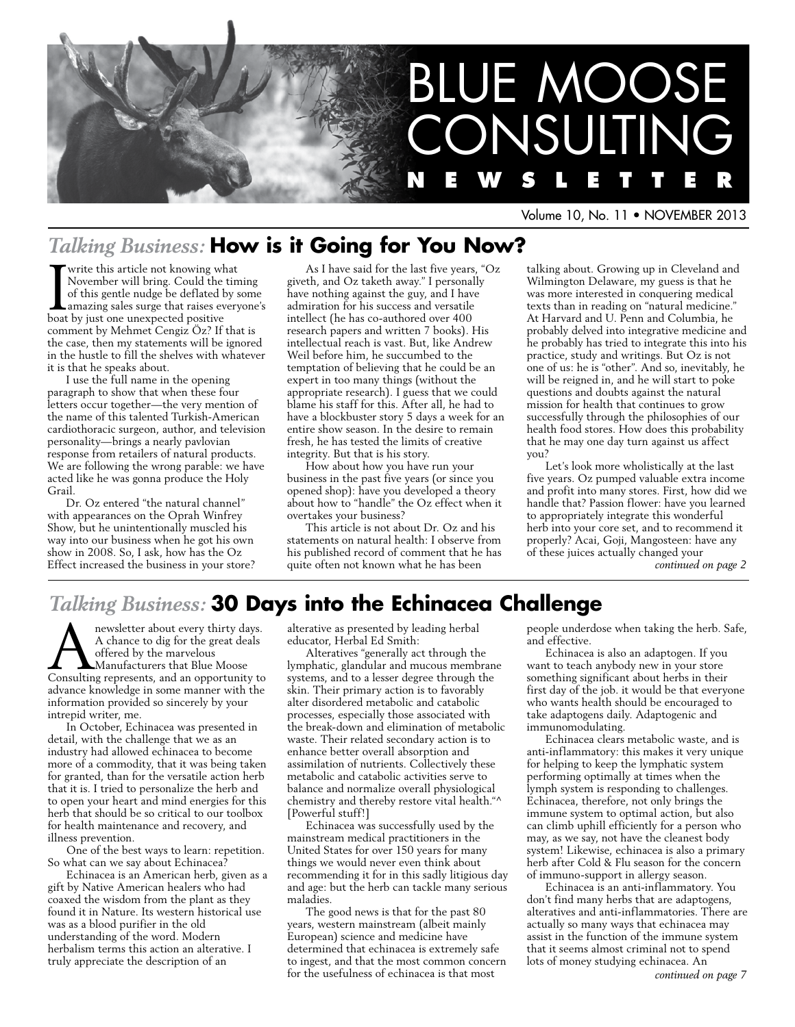

Volume 10, No. 11 • NOVEMBER 2013

### *Talking Business:* **How is it Going for You Now?**

Visite this article not knowing what<br>November will bring. Could the tim<br>of this gentle nudge be deflated by s<br>amazing sales surge that raises every<br>boat by iust one unexpected positive November will bring. Could the timing of this gentle nudge be deflated by some amazing sales surge that raises everyone's boat by just one unexpected positive comment by Mehmet Cengiz Öz? If that is the case, then my statements will be ignored in the hustle to fill the shelves with whatever it is that he speaks about.

I use the full name in the opening paragraph to show that when these four letters occur together—the very mention of the name of this talented Turkish-American cardiothoracic surgeon, author, and television personality—brings a nearly pavlovian response from retailers of natural products. We are following the wrong parable: we have acted like he was gonna produce the Holy Grail.

Dr. Oz entered "the natural channel" with appearances on the Oprah Winfrey Show, but he unintentionally muscled his way into our business when he got his own show in 2008. So, I ask, how has the Oz Effect increased the business in your store?

As I have said for the last five years, "Oz giveth, and Oz taketh away." I personally have nothing against the guy, and I have admiration for his success and versatile intellect (he has co-authored over 400 research papers and written 7 books). His intellectual reach is vast. But, like Andrew Weil before him, he succumbed to the temptation of believing that he could be an expert in too many things (without the appropriate research). I guess that we could blame his staff for this. After all, he had to have a blockbuster story 5 days a week for an entire show season. In the desire to remain fresh, he has tested the limits of creative integrity. But that is his story.

How about how you have run your business in the past five years (or since you opened shop): have you developed a theory about how to "handle" the Oz effect when it overtakes your business?

This article is not about Dr. Oz and his statements on natural health: I observe from his published record of comment that he has quite often not known what he has been

talking about. Growing up in Cleveland and Wilmington Delaware, my guess is that he was more interested in conquering medical texts than in reading on "natural medicine." At Harvard and U. Penn and Columbia, he probably delved into integrative medicine and he probably has tried to integrate this into his practice, study and writings. But Oz is not one of us: he is "other". And so, inevitably, he will be reigned in, and he will start to poke questions and doubts against the natural mission for health that continues to grow successfully through the philosophies of our health food stores. How does this probability that he may one day turn against us affect you?

Let's look more wholistically at the last five years. Oz pumped valuable extra income and profit into many stores. First, how did we handle that? Passion flower: have you learned to appropriately integrate this wonderful herb into your core set, and to recommend it properly? Acai, Goji, Mangosteen: have any of these juices actually changed your *continued on page 2*

### *Talking Business:* **30 Days into the Echinacea Challenge**

A newsletter about every thirty days.<br>A chance to dig for the great deals<br>offered by the marvelous<br>Consulting represents, and an opportunity to A chance to dig for the great deals offered by the marvelous Manufacturers that Blue Moose advance knowledge in some manner with the information provided so sincerely by your intrepid writer, me.

In October, Echinacea was presented in detail, with the challenge that we as an industry had allowed echinacea to become more of a commodity, that it was being taken for granted, than for the versatile action herb that it is. I tried to personalize the herb and to open your heart and mind energies for this herb that should be so critical to our toolbox for health maintenance and recovery, and illness prevention.

One of the best ways to learn: repetition. So what can we say about Echinacea?

Echinacea is an American herb, given as a gift by Native American healers who had coaxed the wisdom from the plant as they found it in Nature. Its western historical use was as a blood purifier in the old understanding of the word. Modern herbalism terms this action an alterative. I truly appreciate the description of an

alterative as presented by leading herbal educator, Herbal Ed Smith:

Alteratives "generally act through the lymphatic, glandular and mucous membrane systems, and to a lesser degree through the skin. Their primary action is to favorably alter disordered metabolic and catabolic processes, especially those associated with the break-down and elimination of metabolic waste. Their related secondary action is to enhance better overall absorption and assimilation of nutrients. Collectively these metabolic and catabolic activities serve to balance and normalize overall physiological chemistry and thereby restore vital health."^ [Powerful stuff!]

Echinacea was successfully used by the mainstream medical practitioners in the United States for over 150 years for many things we would never even think about recommending it for in this sadly litigious day and age: but the herb can tackle many serious maladies.

The good news is that for the past 80 years, western mainstream (albeit mainly European) science and medicine have determined that echinacea is extremely safe to ingest, and that the most common concern for the usefulness of echinacea is that most

people underdose when taking the herb. Safe, and effective.

Echinacea is also an adaptogen. If you want to teach anybody new in your store something significant about herbs in their first day of the job. it would be that everyone who wants health should be encouraged to take adaptogens daily. Adaptogenic and immunomodulating.

Echinacea clears metabolic waste, and is anti-inflammatory: this makes it very unique for helping to keep the lymphatic system performing optimally at times when the lymph system is responding to challenges. Echinacea, therefore, not only brings the immune system to optimal action, but also can climb uphill efficiently for a person who may, as we say, not have the cleanest body system! Likewise, echinacea is also a primary herb after Cold & Flu season for the concern of immuno-support in allergy season.

Echinacea is an anti-inflammatory. You don't find many herbs that are adaptogens, alteratives and anti-inflammatories. There are actually so many ways that echinacea may assist in the function of the immune system that it seems almost criminal not to spend lots of money studying echinacea. An *continued on page 7*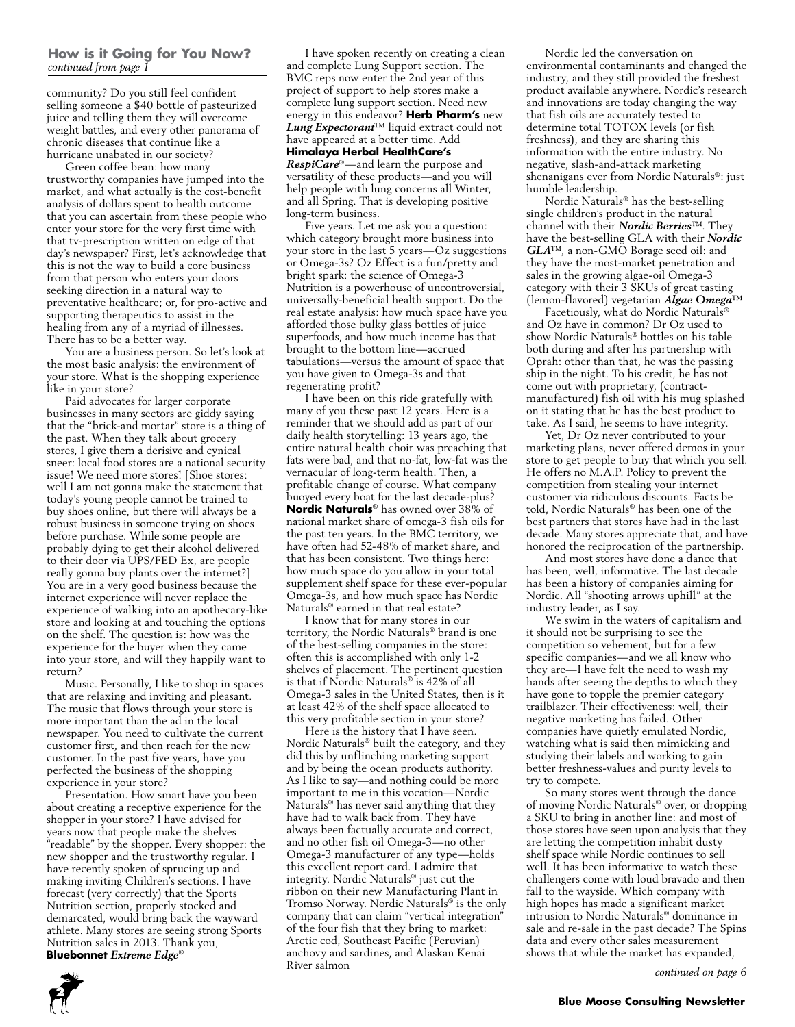### **How is it Going for You Now?** *continued from page 1*

community? Do you still feel confident selling someone a \$40 bottle of pasteurized juice and telling them they will overcome weight battles, and every other panorama of chronic diseases that continue like a hurricane unabated in our society?

Green coffee bean: how many trustworthy companies have jumped into the market, and what actually is the cost-benefit analysis of dollars spent to health outcome that you can ascertain from these people who enter your store for the very first time with that tv-prescription written on edge of that day's newspaper? First, let's acknowledge that this is not the way to build a core business from that person who enters your doors seeking direction in a natural way to preventative healthcare; or, for pro-active and supporting therapeutics to assist in the healing from any of a myriad of illnesses. There has to be a better way.

You are a business person. So let's look at the most basic analysis: the environment of your store. What is the shopping experience like in your store?

Paid advocates for larger corporate businesses in many sectors are giddy saying that the "brick-and mortar" store is a thing of the past. When they talk about grocery stores, I give them a derisive and cynical sneer: local food stores are a national security issue! We need more stores! [Shoe stores: well I am not gonna make the statement that today's young people cannot be trained to buy shoes online, but there will always be a robust business in someone trying on shoes before purchase. While some people are probably dying to get their alcohol delivered to their door via UPS/FED Ex, are people really gonna buy plants over the internet?] You are in a very good business because the internet experience will never replace the experience of walking into an apothecary-like store and looking at and touching the options on the shelf. The question is: how was the experience for the buyer when they came into your store, and will they happily want to return?

Music. Personally, I like to shop in spaces that are relaxing and inviting and pleasant. The music that flows through your store is more important than the ad in the local newspaper. You need to cultivate the current customer first, and then reach for the new customer. In the past five years, have you perfected the business of the shopping experience in your store?

Presentation. How smart have you been about creating a receptive experience for the shopper in your store? I have advised for years now that people make the shelves "readable" by the shopper. Every shopper: the new shopper and the trustworthy regular. I have recently spoken of sprucing up and making inviting Children's sections. I have forecast (very correctly) that the Sports Nutrition section, properly stocked and demarcated, would bring back the wayward athlete. Many stores are seeing strong Sports Nutrition sales in 2013. Thank you, **Bluebonnet** *Extreme Edge*®

I have spoken recently on creating a clean and complete Lung Support section. The BMC reps now enter the 2nd year of this project of support to help stores make a complete lung support section. Need new energy in this endeavor? **Herb Pharm's** new *Lung Expectorant*™ liquid extract could not have appeared at a better time. Add **Himalaya Herbal HealthCare's**  *RespiCare*®—and learn the purpose and versatility of these products—and you will help people with lung concerns all Winter, and all Spring. That is developing positive long-term business.

Five years. Let me ask you a question: which category brought more business into your store in the last 5 years—Oz suggestions or Omega-3s? Oz Effect is a fun/pretty and bright spark: the science of Omega-3 Nutrition is a powerhouse of uncontroversial, universally-beneficial health support. Do the real estate analysis: how much space have you afforded those bulky glass bottles of juice superfoods, and how much income has that brought to the bottom line—accrued tabulations—versus the amount of space that you have given to Omega-3s and that regenerating profit?

I have been on this ride gratefully with many of you these past 12 years. Here is a reminder that we should add as part of our daily health storytelling: 13 years ago, the entire natural health choir was preaching that fats were bad, and that no-fat, low-fat was the vernacular of long-term health. Then, a profitable change of course. What company buoyed every boat for the last decade-plus? **Nordic Naturals**® has owned over 38% of national market share of omega-3 fish oils for the past ten years. In the BMC territory, we have often had 52-48% of market share, and that has been consistent. Two things here: how much space do you allow in your total supplement shelf space for these ever-popular Omega-3s, and how much space has Nordic Naturals® earned in that real estate?

I know that for many stores in our territory, the Nordic Naturals® brand is one of the best-selling companies in the store: often this is accomplished with only 1-2 shelves of placement. The pertinent question is that if Nordic Naturals® is 42% of all Omega-3 sales in the United States, then is it at least 42% of the shelf space allocated to this very profitable section in your store?

Here is the history that I have seen. Nordic Naturals® built the category, and they did this by unflinching marketing support and by being the ocean products authority. As I like to say—and nothing could be more important to me in this vocation—Nordic Naturals® has never said anything that they have had to walk back from. They have always been factually accurate and correct, and no other fish oil Omega-3—no other Omega-3 manufacturer of any type—holds this excellent report card. I admire that integrity. Nordic Naturals® just cut the ribbon on their new Manufacturing Plant in Tromso Norway. Nordic Naturals® is the only company that can claim "vertical integration" of the four fish that they bring to market: Arctic cod, Southeast Pacific (Peruvian) anchovy and sardines, and Alaskan Kenai River salmon

Nordic led the conversation on environmental contaminants and changed the industry, and they still provided the freshest product available anywhere. Nordic's research and innovations are today changing the way that fish oils are accurately tested to determine total TOTOX levels (or fish freshness), and they are sharing this information with the entire industry. No negative, slash-and-attack marketing shenanigans ever from Nordic Naturals®: just humble leadership.

Nordic Naturals® has the best-selling single children's product in the natural channel with their *Nordic Berries*™. They have the best-selling GLA with their *Nordic GLA*™, a non-GMO Borage seed oil: and they have the most-market penetration and sales in the growing algae-oil Omega-3 category with their 3 SKUs of great tasting (lemon-flavored) vegetarian *Algae Omega*™

Facetiously, what do Nordic Naturals® and Oz have in common? Dr Oz used to show Nordic Naturals® bottles on his table both during and after his partnership with Oprah: other than that, he was the passing ship in the night. To his credit, he has not come out with proprietary, (contractmanufactured) fish oil with his mug splashed on it stating that he has the best product to take. As I said, he seems to have integrity.

Yet, Dr Oz never contributed to your marketing plans, never offered demos in your store to get people to buy that which you sell. He offers no M.A.P. Policy to prevent the competition from stealing your internet customer via ridiculous discounts. Facts be told, Nordic Naturals® has been one of the best partners that stores have had in the last decade. Many stores appreciate that, and have honored the reciprocation of the partnership.

And most stores have done a dance that has been, well, informative. The last decade has been a history of companies aiming for Nordic. All "shooting arrows uphill" at the industry leader, as I say.

We swim in the waters of capitalism and it should not be surprising to see the competition so vehement, but for a few specific companies—and we all know who they are—I have felt the need to wash my hands after seeing the depths to which they have gone to topple the premier category trailblazer. Their effectiveness: well, their negative marketing has failed. Other companies have quietly emulated Nordic, watching what is said then mimicking and studying their labels and working to gain better freshness-values and purity levels to try to compete.

So many stores went through the dance of moving Nordic Naturals® over, or dropping a SKU to bring in another line: and most of those stores have seen upon analysis that they are letting the competition inhabit dusty shelf space while Nordic continues to sell well. It has been informative to watch these challengers come with loud bravado and then fall to the wayside. Which company with high hopes has made a significant market intrusion to Nordic Naturals® dominance in sale and re-sale in the past decade? The Spins data and every other sales measurement shows that while the market has expanded,

*continued on page 6*

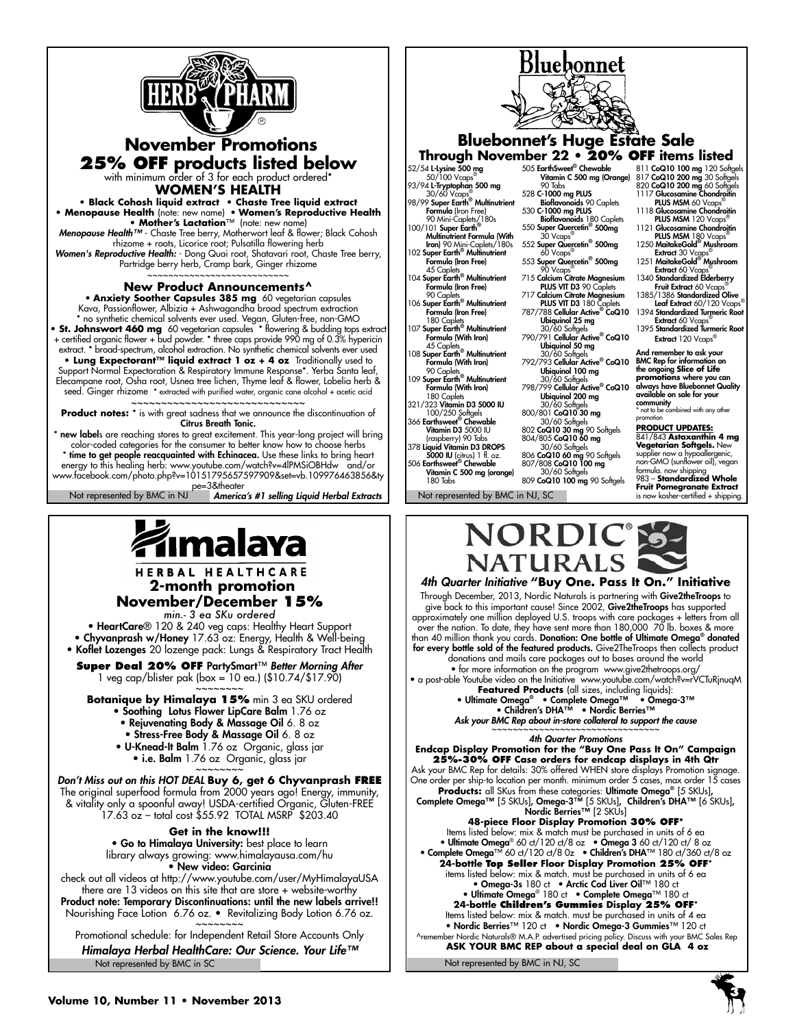



### **WOMEN'S HEALTH**

**• Black Cohosh liquid extract • Chaste Tree liquid extract • Menopause Health** (note: new name) • **Women's Reproductive Health • Mother's Lactation**™ (note: new name)

*Menopause Health™* - Chaste Tree berry, Motherwort leaf & flower; Black Cohosh rhizome + roots, Licorice root; Pulsatilla flowering herb *Women's Reproductive Health:* - Dong Quai root, Shatavari root, Chaste Tree berry, Partridge berry herb, Cramp bark, Ginger rhizome

#### ~~~~~~~~~~~~~~~~~~~~~~~~~ **New Product Announcements^**

• **Anxiety Soother Capsules 385 mg** 60 vegetarian capsules Kava, Passionflower, Albizia + Ashwagandha broad spectrum extraction \* no synthetic chemical solvents ever used. Vegan, Gluten-free, non-GMO **• St. Johnswort 460 mg** 60 vegetarian capsules \* flowering & budding tops extract + certified organic flower + bud powder. \* three caps provide 990 mg of 0.3% hypericin extract. \* broad-spectrum, alcohol extraction. No synthetic chemical solvents ever used **• Lung Expectorant™ liquid extract 1 oz + 4 oz** Traditionally used to Support Normal Expectoration & Respiratory Immune Response\*. Yerba Santa leaf, Elecampane root, Osha root, Usnea tree lichen, Thyme leaf & flower, Lobelia herb & seed. Ginger rhizome \* extracted with purified water, organic cane alcohol + acetic acid ~~~~~~~~~~~~~~~~~~~~~~~~~~~~~~~~

**Product notes:** \* is with great sadness that we announce the discontinuation of Citrus Breath Tonic.

America's #1 selling Liquid Herbal Extracts | Not represented by BMC in NJ, SC new labels are reaching stores to great excitement. This year-long project will bring color-coded categories for the consumer to better know how to choose herbs \* time to get people reacquainted with Echinacea. Use these links to bring heart energy to this healing herb: www.youtube.com/watch?v=4lPMSiOBHdw and/or www.facebook.com/photo.php?v=10151795657597909&set=vb.109976463856&ty pe=3&theater<br>Not represented by BMC in NJ**America's #1 selling Liquid Herbal Extracts** 

malaya

HERBAL HEALTHCARE  **2-month promotion November/December 15%** 

*min.- 3 ea SKu ordered*

• HeartCare® 120 & 240 veg caps: Healthy Heart Support • Chyvanprash w/Honey 17.63 oz: Energy, Health & Well-being • Koflet Lozenges 20 lozenge pack: Lungs & Respiratory Tract Health

**Super Deal 20% OFF** PartySmart™ *Better Morning After* 1 veg cap/blister pak (box = 10 ea.) (\$10.74/\$17.90)

~~~~~~~~ **Botanique by Himalaya 15%** min 3 ea SKU ordered

- Soothing Lotus Flower LipCare Balm 1.76 oz
- Rejuvenating Body & Massage Oil 6. 8 oz • Stress-Free Body & Massage Oil 6. 8 oz
- U-Knead-It Balm 1.76 oz Organic, glass jar • i.e. Balm 1.76 oz Organic, glass jar

~~~~~~~ *Don't Miss out on this HOT DEAL* **Buy 6, get 6 Chyvanprash FREE** The original superfood formula from 2000 years ago! Energy, immunity, & vitality only a spoonful away! USDA-certified Organic, Gluten-FREE 17.63 oz – total cost \$55.92 TOTAL MSRP \$203.40

**Get in the know!!!** • Go to Himalaya University: best place to learn library always growing: www.himalayausa.com/hu • New video: Garcinia

check out all videos at http://www.youtube.com/user/MyHimalayaUSA there are 13 videos on this site that are store + website-worthy Product note: Temporary Discontinuations: until the new labels arrive!! Nourishing Face Lotion 6.76 oz. • Revitalizing Body Lotion 6.76 oz. ~~~~~~~~

Not represented by BMC in SC Promotional schedule: for Independent Retail Store Accounts Only *Himalaya Herbal HealthCare: Our Science. Your Life™*



Bluebonnet

Vitamin C 500 mg (orange) 180 Tabs 30/60 Softgels<br>809 **CoQ10 100 mg** 90 Softgels **Fruit Pomegranate Extract** is now kosher-certified + shipping.



*4th Quarter Initiative* **"Buy One. Pass It On." Initiative** Through December, 2013, Nordic Naturals is partnering with **Give2theTroops** to give back to this important cause! Since 2002, **Give2theTroops** has supported approximately one million deployed U.S. troops with care packages + letters from all over the nation. To date, they have sent more than 180,000 70 lb. boxes & more<br>than 40 million thank you cards. **Donation: One bottle of Ultimate Omega® donated** for every bottle sold of the featured products. Give2TheTroops then collects product donations and mails care packages out to bases around the world

• for more information on the program www.give2thetroops.org/ • a post-able Youtube video on the Initiative www.youtube.com/watch?v=rVCTuRjnuqM

**Featured Products** (all sizes, including liquids):<br>• Ultimate Omega® • Complete Omega™ • Omega-3™<br>• Children's DHA™ • Nordic Berries™

Ask your BMC Rep about in-store collateral to support the cause

*4th Quarter Promotions*

**Endcap Display Promotion for the "Buy One Pass It On" Campaign 25%-30% Off Case orders for endcap displays in 4th Qtr** Ask your BMC Rep for details: 30% offered WHEN store displays Promotion signage. One order per ship-to location per month. minimum order 5 cases, max order 15 cases **Products:** all SKus from these categories: Ultimate Omega® [5 skus], Complete Omega™ [5 skus], Omega-3™ [5 skus], Children's DHA™ [6 skus], Nordic Berries™ [2 skus] **48-piece Floor Display Promotion 30% OFF\*** Items listed below: mix & match must be purchased in units of 6 ea • Ultimate Omega® 60 ct/120 ct/8 oz • Omega 3 60 ct/120 ct/8 oz<br>• Complete Omega™ 60 ct/120 ct/8 0z • Children's DHA™ 180 ct/360 ct/8 oz **24-bottle Top Seller Floor Display Promotion 25% OFF**\* items listed below: mix & match. must be purchased in units of 6 ea • Omega-3s 180 ct • Arctic Cod Liver Oil™ 180 ct • Ultimate Omega® 180 ct • Complete Omega™ 180 ct **24-bottle Children's Gummies Display 25% OFF**\* Items listed below: mix & match. must be purchased in units of 4 ea • Nordic Berries™ 120 ct • Nordic Omega-3 Gummies™ 120 ct

ber Nordic Naturals® M.A.P. advertised pricing policy. Discuss with your BMC Sales Rep  **ASK YOUR BMC REP about a special deal on GLA 4 oz**

Not represented by BMC in NJ, SC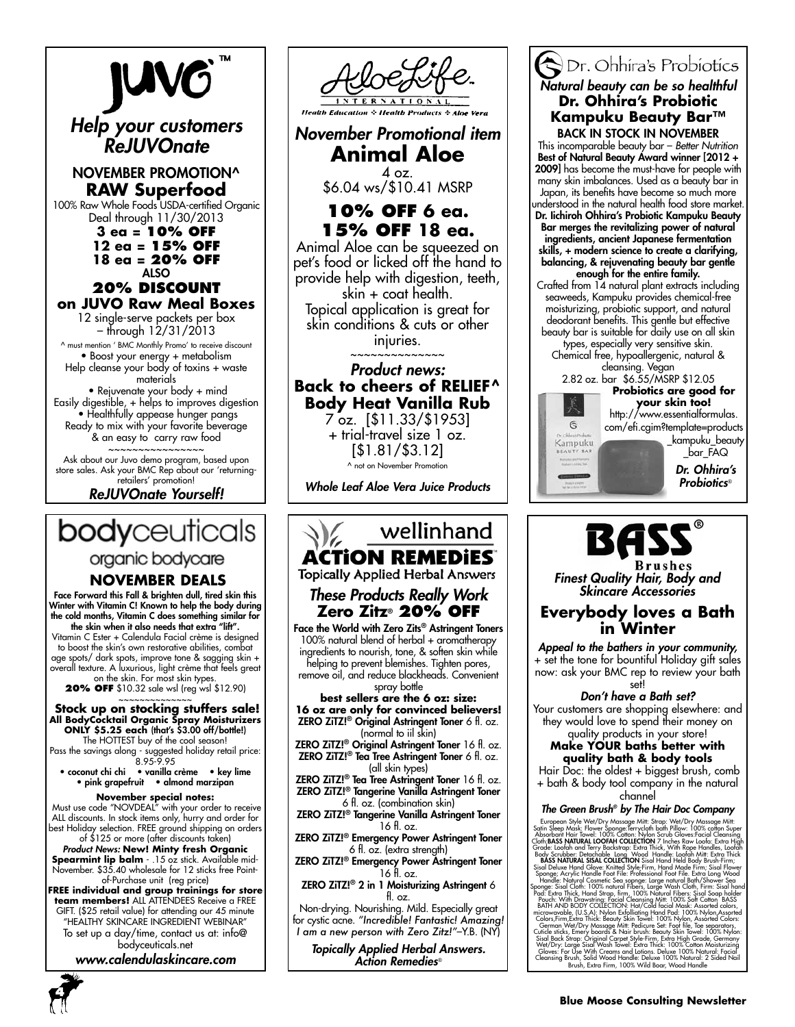

*ReJUVOnate Yourself!*



organic bodycare

### **NOVEMBER DEALS**

Face Forward this Fall & brighten dull, tired skin this Winter with Vitamin C! Known to help the body during the cold months, Vitamin C does something similar for the skin when it also needs that extra "lift".

Vitamin C Ester + Calendula Facial crème is designed to boost the skin's own restorative abilities, combat age spots/ dark spots, improve tone & sagging skin + overall texture. A luxurious, light crème that feels great

on the skin. For most skin types. **20% OFF** \$10.32 sale wsl (reg wsl \$12.90)

### Stock up on stocking stuffers sale! **All BodyCocktail Organic Spray Moisturizers ONLY \$5.25 each** (that's \$3.00 off/bottle!)

The HOTTEST buy of the cool season! Pass the savings along - suggested holiday retail price:

8.95-9.95 • coconut chi chi • vanilla crème • key lime • pink grapefruit • almond marzipan

### **November special notes:**

 Must use code "NOVDEAL" with your order to receive ALL discounts. In stock items only, hurry and order for best Holiday selection. FREE ground shipping on orders of \$125 or more (after discounts taken)

*Product News:* **New! Minty fresh Organic Spearmint lip balm** - .15 oz stick. Available mid-November. \$35.40 wholesale for 12 sticks free Point-

of-Purchase unit (reg price) **FREE individual and group trainings for store team members!** ALL ATTENDEES Receive a FREE GIFT. (\$25 retail value) for attending our 45 minute "HEALTHY SKINCARE INGREDIENT WEBINAR" To set up a day/time, contact us at: info@

bodyceuticals.net *www.calendulaskincare.com*





ZERO ZiTZ!® Emergency Power Astringent Toner 6 fl. oz. (extra strength)

ZERO ZiTZ!® Emergency Power Astringent Toner 16 fl. oz.

ZERO ZiTZ!® 2 in 1 Moisturizing Astringent 6 fl. oz.

Non-drying. Nourishing. Mild. Especially great for cystic acne. *"Incredible! Fantastic! Amazing! I am a new person with Zero Zitz!"*–Y.B. (NY)

*Topically Applied Herbal Answers. Action Remedies*®

### Dr. Ohhira's Probiotics *Natural beauty can be so healthful* **Dr. Ohhira's Probiotic Kampuku Beauty Bar™** BACK IN STOCK IN NOVEMBER

This incomparable beauty bar – *Better Nutrition*  Best of Natural Beauty Award winner [2012 + 2009] has become the must-have for people with many skin imbalances. Used as a beauty bar in Japan, its benefits have become so much more understood in the natural health food store market. Dr. Iichiroh Ohhira's Probiotic Kampuku Beauty Bar merges the revitalizing power of natural ingredients, ancient Japanese fermentation skills, + modern science to create a clarifying, balancing, & rejuvenating beauty bar gentle enough for the entire family. Crafted from 14 natural plant extracts including

seaweeds, Kampuku provides chemical-free moisturizing, probiotic support, and natural deodorant benefits. This gentle but effective beauty bar is suitable for daily use on all skin

types, especially very sensitive skin. Chemical free, hypoallergenic, natural & cleansing. Vegan

6 Kampuku

2.82 oz. bar \$6.55/MSRP \$12.05 **Probiotics are good for** 



\_bar\_FAQ

*Dr. Ohhira's Probiotics*®

# BAS

*Finest Quality Hair, Body and Skincare Accessories*

### **Everybody loves a Bath in Winter**

*Appeal to the bathers in your community,*  + set the tone for bountiful Holiday gift sales now: ask your BMC rep to review your bath set!

*Don't have a Bath set?* 

Your customers are shopping elsewhere: and they would love to spend their money on

#### quality products in your store! **Make YOUR baths better with quality bath & body tools**

Hair Doc: the oldest + biggest brush, comb

+ bath & body tool company in the natural

#### channel<br>The Green Brush® by The Hair Doc Company *The Green Brush® by The Hair Doc Company*

European Syle Wel/Dry Massage Mit: Strop: Wel/Dry Massage Mit: Strop: Norsky Content Rain Scenario Syle (Tolm School Clearing Cloning Clearing Clearing Contel: DOS Chatter Cloning Book Scrubber Details and Terry Backston: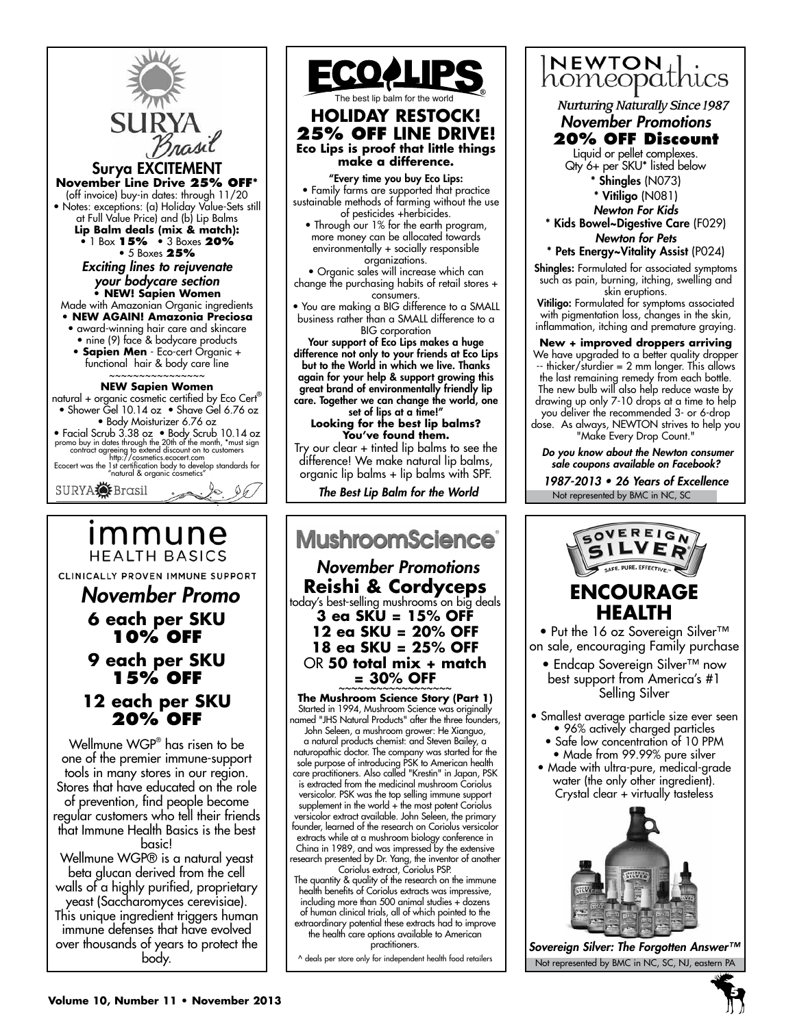

### **HEALTH BASICS** CLINICALLY PROVEN IMMUNE SUPPORT  *November Promo*

### **6 each per SKU 10% OFF 9 each per SKU 15% OFF 12 each per SKU 20% OFF**

Wellmune WGP® has risen to be one of the premier immune-support tools in many stores in our region. Stores that have educated on the role of prevention, find people become regular customers who tell their friends that Immune Health Basics is the best basic! Wellmune WGP® is a natural yeast

beta glucan derived from the cell walls of a highly purified, proprietary yeast (Saccharomyces cerevisiae). This unique ingredient triggers human immune defenses that have evolved over thousands of years to protect the body.



"Every time you buy Eco Lips: • Family farms are supported that practice sustainable methods of farming without the use of pesticides +herbicides.

• Through our 1% for the earth program, more money can be allocated towards environmentally + socially responsible organizations.

• Organic sales will increase which can change the purchasing habits of retail stores + consumers.

• You are making a BIG difference to a SMALL business rather than a SMALL difference to a BIG corporation

Your support of Eco Lips makes a huge difference not only to your friends at Eco Lips but to the World in which we live. Thanks again for your help & support growing this great brand of environmentally friendly lip care. Together we can change the world, one set of lips at a time!"

**Looking for the best lip balms? You've found them.**

Try our clear + tinted lip balms to see the difference! We make natural lip balms, organic lip balms + lip balms with SPF.

*The Best Lip Balm for the World*

## **MushroomScience**®

 *November Promotions* **Reishi & Cordyceps** today's best-selling mushrooms on big deals

**3 ea SKU = 15% OFF 12 ea SKU = 20% OFF 18 ea SKU = 25% OFF** OR **50 total mix + match = 30% OFF** ~~~~~~~~~~~~~~~~~~ **The Mushroom Science Story (Part 1)**

Started in 1994, Mushroom Science was originally named "JHS Natural Products" after the three founders, John Seleen, a mushroom grower: He Xianguo, a natural products chemist: and Steven Bailey, a naturopathic doctor. The company was started for the sole purpose of introducing PSK to American health care practitioners. Also called "Krestin" in Japan, PSK is extracted from the medicinal mushroom Coriolus versicolor. PSK was the top selling immune support supplement in the world + the most potent Coriolus versicolor extract available. John Seleen, the primary founder, learned of the research on Coriolus versicolor extracts while at a mushroom biology conference in China in 1989, and was impressed by the extensive research presented by Dr. Yang, the inventor of another Coriolus extract, Coriolus PSP.

The quantity & quality of the research on the immune health benefits of Coriolus extracts was impressive, including more than 500 animal studies + dozens of human clinical trials, all of which pointed to the extraordinary potential these extracts had to improve the health care options available to American practitioners.

^ deals per store only for independent health food retailers



**Nurturing Naturally Since 1987** *November Promotions*

### **20% OFF Discount**

Liquid or pellet complexes. Qty 6+ per SKU\* listed below

\* Shingles (N073) \* Vitiligo (N081)

*Newton For Kids*

\* Kids Bowel~Digestive Care (F029) *Newton for Pets*

\* Pets Energy~Vitality Assist (P024)

Shingles: Formulated for associated symptoms such as pain, burning, itching, swelling and skin eruptions.

Vitiligo: Formulated for symptoms associated with pigmentation loss, changes in the skin, inflammation, itching and premature graying.

**New + improved droppers arriving** We have upgraded to a better quality dropper -- thicker/sturdier = 2 mm longer. This allows the last remaining remedy from each bottle. The new bulb will also help reduce waste by drawing up only 7-10 drops at a time to help you deliver the recommended 3- or 6-drop

dose. As always, NEWTON strives to help you "Make Every Drop Count."

*Do you know about the Newton consumer sale coupons available on Facebook?*

Not represented by BMC in NC, SC 1987-2013 • 26 Years of Excellence





Not represented by BMC in NC, SC, NJ, eastern PA *Sovereign Silver: The Forgotten Answer™*

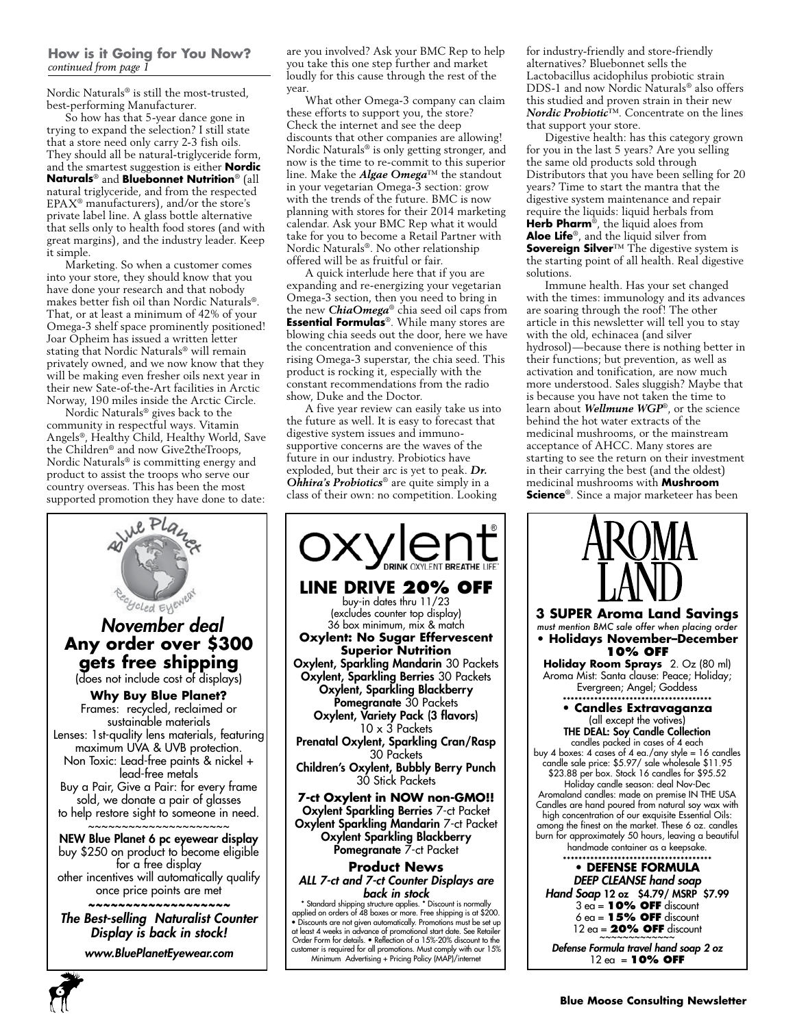### **How is it Going for You Now?** *continued from page 1*

Nordic Naturals® is still the most-trusted, best-performing Manufacturer.

So how has that 5-year dance gone in trying to expand the selection? I still state that a store need only carry 2-3 fish oils. They should all be natural-triglyceride form, and the smartest suggestion is either **Nordic Naturals**® and **Bluebonnet Nutrition**® (all natural triglyceride, and from the respected  $\text{EPAX}^{\circledast}$  manufacturers), and/or the store's private label line. A glass bottle alternative that sells only to health food stores (and with great margins), and the industry leader. Keep it simple.

Marketing. So when a customer comes into your store, they should know that you have done your research and that nobody makes better fish oil than Nordic Naturals®. That, or at least a minimum of 42% of your Omega-3 shelf space prominently positioned! Joar Opheim has issued a written letter stating that Nordic Naturals® will remain privately owned, and we now know that they will be making even fresher oils next year in their new Sate-of-the-Art facilities in Arctic Norway, 190 miles inside the Arctic Circle.

Nordic Naturals® gives back to the community in respectful ways. Vitamin Angels®, Healthy Child, Healthy World, Save the Children® and now Give2theTroops, Nordic Naturals® is committing energy and product to assist the troops who serve our country overseas. This has been the most supported promotion they have done to date:

are you involved? Ask your BMC Rep to help you take this one step further and market loudly for this cause through the rest of the year

What other Omega-3 company can claim these efforts to support you, the store? Check the internet and see the deep discounts that other companies are allowing! Nordic Naturals® is only getting stronger, and now is the time to re-commit to this superior line. Make the *Algae Omega*™ the standout in your vegetarian Omega-3 section: grow with the trends of the future. BMC is now planning with stores for their 2014 marketing calendar. Ask your BMC Rep what it would take for you to become a Retail Partner with Nordic Naturals®. No other relationship offered will be as fruitful or fair.

A quick interlude here that if you are expanding and re-energizing your vegetarian Omega-3 section, then you need to bring in the new *ChiaOmega*® chia seed oil caps from **Essential Formulas**®. While many stores are blowing chia seeds out the door, here we have the concentration and convenience of this rising Omega-3 superstar, the chia seed. This product is rocking it, especially with the constant recommendations from the radio show, Duke and the Doctor.

A five year review can easily take us into the future as well. It is easy to forecast that digestive system issues and immunosupportive concerns are the waves of the future in our industry. Probiotics have exploded, but their arc is yet to peak. *Dr. Ohhira's Probiotics*® are quite simply in a class of their own: no competition. Looking



• Discounts are not given automatically. Promotions must be set up at least 4 weeks in advance of promotional start date. See Retailer Order Form for details. • Reflection of a 15%-20% discount to the customer is required for all promotions. Must comply with our 15% Minimum Advertising + Pricing Policy (MAP)/internet

for industry-friendly and store-friendly alternatives? Bluebonnet sells the Lactobacillus acidophilus probiotic strain DDS-1 and now Nordic Naturals® also offers this studied and proven strain in their new *Nordic Probiotic*™. Concentrate on the lines that support your store.

Digestive health: has this category grown for you in the last 5 years? Are you selling the same old products sold through Distributors that you have been selling for 20 years? Time to start the mantra that the digestive system maintenance and repair require the liquids: liquid herbals from **Herb Pharm**®, the liquid aloes from **Aloe Life**®, and the liquid silver from **Sovereign Silver**™ The digestive system is the starting point of all health. Real digestive solutions.

Immune health. Has your set changed with the times: immunology and its advances are soaring through the roof! The other article in this newsletter will tell you to stay with the old, echinacea (and silver hydrosol)—because there is nothing better in their functions; but prevention, as well as activation and tonification, are now much more understood. Sales sluggish? Maybe that is because you have not taken the time to learn about *Wellmune WGP*®, or the science behind the hot water extracts of the medicinal mushrooms, or the mainstream acceptance of AHCC. Many stores are starting to see the return on their investment in their carrying the best (and the oldest) medicinal mushrooms with **Mushroom Science**®. Since a major marketeer has been





**6**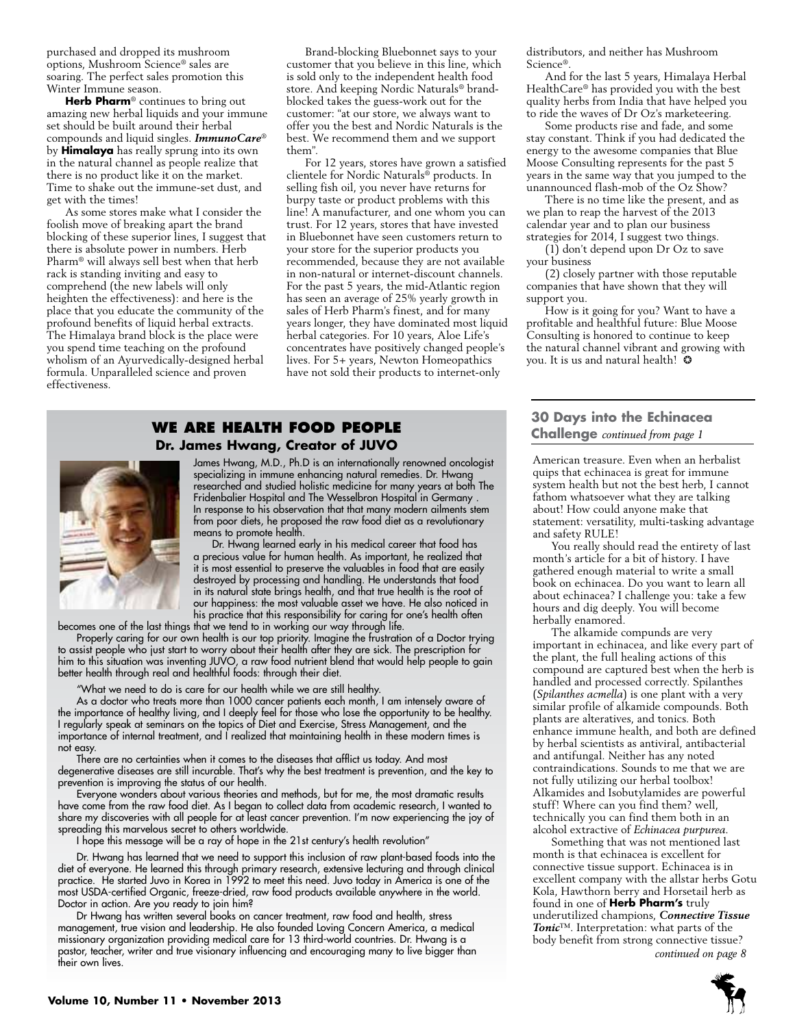purchased and dropped its mushroom options, Mushroom Science® sales are soaring. The perfect sales promotion this Winter Immune season.

**Herb Pharm**® continues to bring out amazing new herbal liquids and your immune set should be built around their herbal compounds and liquid singles. *ImmunoCare*® by **Himalaya** has really sprung into its own in the natural channel as people realize that there is no product like it on the market. Time to shake out the immune-set dust, and get with the times!

As some stores make what I consider the foolish move of breaking apart the brand blocking of these superior lines, I suggest that there is absolute power in numbers. Herb Pharm® will always sell best when that herb rack is standing inviting and easy to comprehend (the new labels will only heighten the effectiveness): and here is the place that you educate the community of the profound benefits of liquid herbal extracts. The Himalaya brand block is the place were you spend time teaching on the profound wholism of an Ayurvedically-designed herbal formula. Unparalleled science and proven effectiveness.

Brand-blocking Bluebonnet says to your customer that you believe in this line, which is sold only to the independent health food store. And keeping Nordic Naturals® brandblocked takes the guess-work out for the customer: "at our store, we always want to offer you the best and Nordic Naturals is the best. We recommend them and we support them".

For 12 years, stores have grown a satisfied clientele for Nordic Naturals® products. In selling fish oil, you never have returns for burpy taste or product problems with this line! A manufacturer, and one whom you can trust. For 12 years, stores that have invested in Bluebonnet have seen customers return to your store for the superior products you recommended, because they are not available in non-natural or internet-discount channels. For the past 5 years, the mid-Atlantic region has seen an average of 25% yearly growth in sales of Herb Pharm's finest, and for many years longer, they have dominated most liquid herbal categories. For 10 years, Aloe Life's concentrates have positively changed people's lives. For 5+ years, Newton Homeopathics have not sold their products to internet-only

### **We are health food people Dr. James Hwang, Creator of JUVO**



James Hwang, M.D., Ph.D is an internationally renowned oncologist specializing in immune enhancing natural remedies. Dr. Hwang researched and studied holistic medicine for many years at both The Fridenbalier Hospital and The Wesselbron Hospital in Germany . In response to his observation that that many modern ailments stem from poor diets, he proposed the raw food diet as a revolutionary means to promote health.

Dr. Hwang learned early in his medical career that food has a precious value for human health. As important, he realized that it is most essential to preserve the valuables in food that are easily destroyed by processing and handling. He understands that food in its natural state brings health, and that true health is the root of our happiness: the most valuable asset we have. He also noticed in his practice that this responsibility for caring for one's health often

becomes one of the last things that we tend to in working our way through life.

Properly caring for our own health is our top priority. Imagine the frustration of a Doctor trying to assist people who just start to worry about their health after they are sick. The prescription for him to this situation was inventing JUVO, a raw food nutrient blend that would help people to gain better health through real and healthful foods: through their diet.

"What we need to do is care for our health while we are still healthy.

As a doctor who treats more than 1000 cancer patients each month, I am intensely aware of the importance of healthy living, and I deeply feel for those who lose the opportunity to be healthy. I regularly speak at seminars on the topics of Diet and Exercise, Stress Management, and the importance of internal treatment, and I realized that maintaining health in these modern times is not easy.

There are no certainties when it comes to the diseases that afflict us today. And most degenerative diseases are still incurable. That's why the best treatment is prevention, and the key to prevention is improving the status of our health.

Everyone wonders about various theories and methods, but for me, the most dramatic results have come from the raw food diet. As I began to collect data from academic research, I wanted to share my discoveries with all people for at least cancer prevention. I'm now experiencing the joy of spreading this marvelous secret to others worldwide.

I hope this message will be a ray of hope in the 21st century's health revolution"

Dr. Hwang has learned that we need to support this inclusion of raw plant-based foods into the diet of everyone. He learned this through primary research, extensive lecturing and through clinical practice. He started Juvo in Korea in 1992 to meet this need. Juvo today in America is one of the most USDA-certified Organic, freeze-dried, raw food products available anywhere in the world. Doctor in action. Are you ready to join him?

Dr Hwang has written several books on cancer treatment, raw food and health, stress management, true vision and leadership. He also founded Loving Concern America, a medical missionary organization providing medical care for 13 third-world countries. Dr. Hwang is a pastor, teacher, writer and true visionary influencing and encouraging many to live bigger than their own lives.

distributors, and neither has Mushroom Science®.

And for the last 5 years, Himalaya Herbal HealthCare® has provided you with the best quality herbs from India that have helped you to ride the waves of Dr Oz's marketeering.

Some products rise and fade, and some stay constant. Think if you had dedicated the energy to the awesome companies that Blue Moose Consulting represents for the past 5 years in the same way that you jumped to the unannounced flash-mob of the Oz Show?

There is no time like the present, and as we plan to reap the harvest of the 2013 calendar year and to plan our business strategies for 2014, I suggest two things.

(1) don't depend upon Dr Oz to save your business

(2) closely partner with those reputable companies that have shown that they will support you.

How is it going for you? Want to have a profitable and healthful future: Blue Moose Consulting is honored to continue to keep the natural channel vibrant and growing with you. It is us and natural health! ❂

### **30 Days into the Echinacea Challenge** *continued from page 1*

American treasure. Even when an herbalist quips that echinacea is great for immune system health but not the best herb, I cannot fathom whatsoever what they are talking about! How could anyone make that statement: versatility, multi-tasking advantage and safety RULE!

You really should read the entirety of last month's article for a bit of history. I have gathered enough material to write a small book on echinacea. Do you want to learn all about echinacea? I challenge you: take a few hours and dig deeply. You will become herbally enamored.

The alkamide compunds are very important in echinacea, and like every part of the plant, the full healing actions of this compound are captured best when the herb is handled and processed correctly. Spilanthes (*Spilanthes acmella*) is one plant with a very similar profile of alkamide compounds. Both plants are alteratives, and tonics. Both enhance immune health, and both are defined by herbal scientists as antiviral, antibacterial and antifungal. Neither has any noted contraindications. Sounds to me that we are not fully utilizing our herbal toolbox! Alkamides and Isobutylamides are powerful stuff! Where can you find them? well, technically you can find them both in an alcohol extractive of *Echinacea purpurea*.

*continued on page 8* Something that was not mentioned last month is that echinacea is excellent for connective tissue support. Echinacea is in excellent company with the allstar herbs Gotu Kola, Hawthorn berry and Horsetail herb as found in one of **Herb Pharm's** truly underutilized champions, *Connective Tissue Tonic*™. Interpretation: what parts of the body benefit from strong connective tissue?